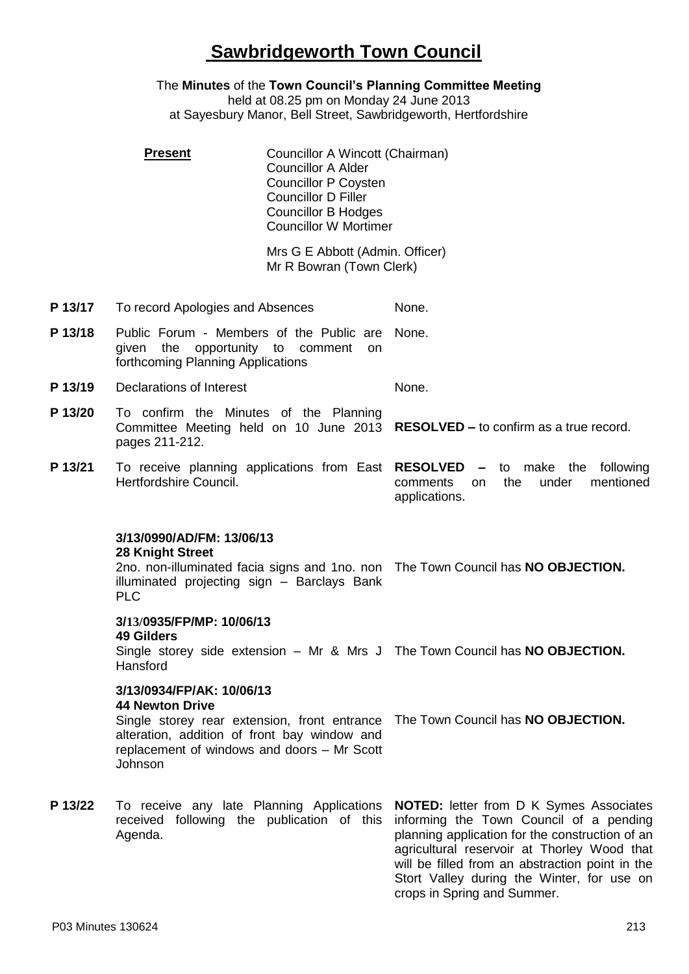## **Sawbridgeworth Town Council**

The **Minutes** of the **Town Council's Planning Committee Meeting** held at 08.25 pm on Monday 24 June 2013 at Sayesbury Manor, Bell Street, Sawbridgeworth, Hertfordshire

|         | <b>Present</b>                                                                                                                                                | Councillor A Wincott (Chairman)<br><b>Councillor A Alder</b><br><b>Councillor P Coysten</b><br><b>Councillor D Filler</b><br><b>Councillor B Hodges</b><br><b>Councillor W Mortimer</b> |                                                                                                                                                                                                                                                                                                                             |
|---------|---------------------------------------------------------------------------------------------------------------------------------------------------------------|-----------------------------------------------------------------------------------------------------------------------------------------------------------------------------------------|-----------------------------------------------------------------------------------------------------------------------------------------------------------------------------------------------------------------------------------------------------------------------------------------------------------------------------|
|         |                                                                                                                                                               | Mrs G E Abbott (Admin. Officer)<br>Mr R Bowran (Town Clerk)                                                                                                                             |                                                                                                                                                                                                                                                                                                                             |
| P 13/17 | To record Apologies and Absences                                                                                                                              |                                                                                                                                                                                         | None.                                                                                                                                                                                                                                                                                                                       |
| P 13/18 | Public Forum - Members of the Public are<br>opportunity to comment<br>given<br>the<br>on.<br>forthcoming Planning Applications                                |                                                                                                                                                                                         | None.                                                                                                                                                                                                                                                                                                                       |
| P 13/19 | Declarations of Interest                                                                                                                                      |                                                                                                                                                                                         | None.                                                                                                                                                                                                                                                                                                                       |
| P 13/20 | To confirm the Minutes of the Planning<br>pages 211-212.                                                                                                      |                                                                                                                                                                                         | Committee Meeting held on 10 June 2013 RESOLVED - to confirm as a true record.                                                                                                                                                                                                                                              |
| P 13/21 | To receive planning applications from East RESOLVED<br>Hertfordshire Council.                                                                                 |                                                                                                                                                                                         | to make the<br>following<br>$\overline{\phantom{0}}$<br>the<br>under<br>mentioned<br>comments<br>on<br>applications.                                                                                                                                                                                                        |
|         | 3/13/0990/AD/FM: 13/06/13<br><b>28 Knight Street</b><br>illuminated projecting sign - Barclays Bank<br><b>PLC</b>                                             |                                                                                                                                                                                         | 2no. non-illuminated facia signs and 1no. non The Town Council has NO OBJECTION.                                                                                                                                                                                                                                            |
|         | 3/13/0935/FP/MP: 10/06/13<br><b>49 Gilders</b><br>Hansford                                                                                                    |                                                                                                                                                                                         | Single storey side extension - Mr & Mrs J The Town Council has NO OBJECTION.                                                                                                                                                                                                                                                |
|         | 3/13/0934/FP/AK: 10/06/13<br><b>44 Newton Drive</b><br>alteration, addition of front bay window and<br>replacement of windows and doors - Mr Scott<br>Johnson |                                                                                                                                                                                         | Single storey rear extension, front entrance The Town Council has NO OBJECTION.                                                                                                                                                                                                                                             |
| P 13/22 | To receive any late Planning Applications<br>received following the publication of this<br>Agenda.                                                            |                                                                                                                                                                                         | <b>NOTED:</b> letter from D K Symes Associates<br>informing the Town Council of a pending<br>planning application for the construction of an<br>agricultural reservoir at Thorley Wood that<br>will be filled from an abstraction point in the<br>Stort Valley during the Winter, for use on<br>crops in Spring and Summer. |